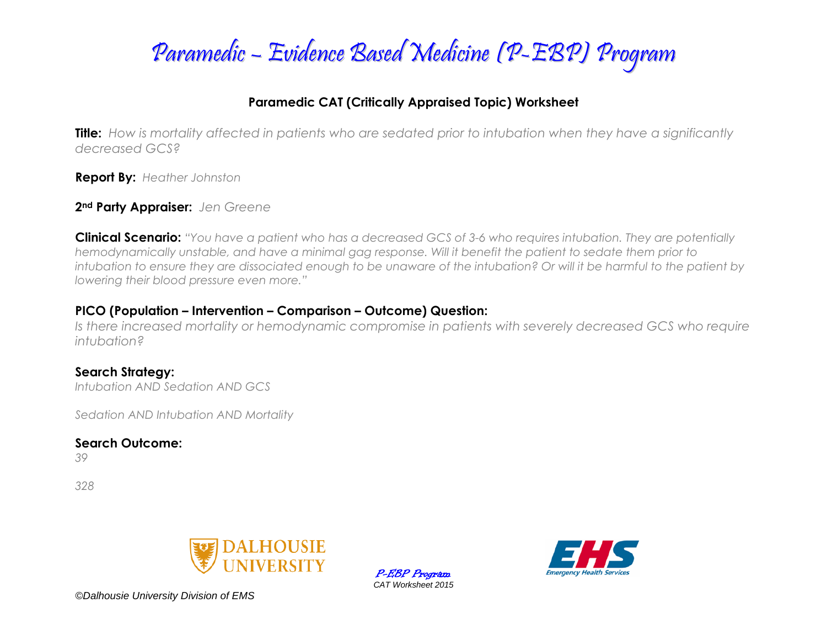

### **Paramedic CAT (Critically Appraised Topic) Worksheet**

**Title:** *How is mortality affected in patients who are sedated prior to intubation when they have a significantly decreased GCS?* 

**Report By:** *Heather Johnston*

**2nd Party Appraiser:** *Jen Greene*

**Clinical Scenario:** *"You have a patient who has a decreased GCS of 3-6 who requires intubation. They are potentially hemodynamically unstable, and have a minimal gag response. Will it benefit the patient to sedate them prior to intubation to ensure they are dissociated enough to be unaware of the intubation? Or will it be harmful to the patient by lowering their blood pressure even more."*

#### **PICO (Population – Intervention – Comparison – Outcome) Question:**

*Is there increased mortality or hemodynamic compromise in patients with severely decreased GCS who require intubation?* 

### **Search Strategy:**

*Intubation AND Sedation AND GCS*

*Sedation AND Intubation AND Mortality* 

**Search Outcome:**

*39*

*328*



P-EBP Program *CAT Worksheet 2015*

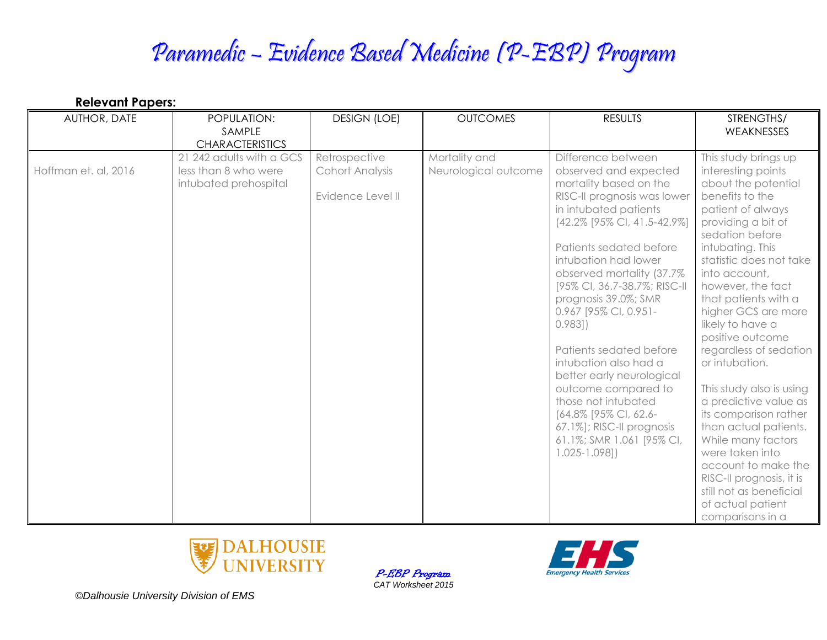| AUTHOR, DATE         | POPULATION:                                      | <b>DESIGN (LOE)</b>              | <b>OUTCOMES</b>                       | <b>RESULTS</b>                                   | STRENGTHS/                                 |
|----------------------|--------------------------------------------------|----------------------------------|---------------------------------------|--------------------------------------------------|--------------------------------------------|
|                      | SAMPLE                                           |                                  |                                       |                                                  | <b>WEAKNESSES</b>                          |
|                      | <b>CHARACTERISTICS</b>                           |                                  |                                       |                                                  |                                            |
| Hoffman et. al, 2016 | 21 242 adults with a GCS<br>less than 8 who were | Retrospective<br>Cohort Analysis | Mortality and<br>Neurological outcome | Difference between<br>observed and expected      | This study brings up<br>interesting points |
|                      | intubated prehospital                            |                                  |                                       | mortality based on the                           | about the potential                        |
|                      |                                                  | Evidence Level II                |                                       | RISC-II prognosis was lower                      | benefits to the                            |
|                      |                                                  |                                  |                                       | in intubated patients                            | patient of always                          |
|                      |                                                  |                                  |                                       | (42.2% [95% CI, 41.5-42.9%]                      | providing a bit of<br>sedation before      |
|                      |                                                  |                                  |                                       | Patients sedated before                          | intubating. This                           |
|                      |                                                  |                                  |                                       | intubation had lower                             | statistic does not take                    |
|                      |                                                  |                                  |                                       | observed mortality (37.7%                        | into account,                              |
|                      |                                                  |                                  |                                       | [95% CI, 36.7-38.7%; RISC-II                     | however, the fact                          |
|                      |                                                  |                                  |                                       | prognosis 39.0%; SMR                             | that patients with a                       |
|                      |                                                  |                                  |                                       | 0.967 [95% CI, 0.951-                            | higher GCS are more                        |
|                      |                                                  |                                  |                                       | 0.983]                                           | likely to have a                           |
|                      |                                                  |                                  |                                       |                                                  | positive outcome                           |
|                      |                                                  |                                  |                                       | Patients sedated before<br>intubation also had a | regardless of sedation                     |
|                      |                                                  |                                  |                                       | better early neurological                        | or intubation.                             |
|                      |                                                  |                                  |                                       | outcome compared to                              | This study also is using                   |
|                      |                                                  |                                  |                                       | those not intubated                              | a predictive value as                      |
|                      |                                                  |                                  |                                       | (64.8% [95% CI, 62.6-                            | its comparison rather                      |
|                      |                                                  |                                  |                                       | 67.1%]; RISC-II prognosis                        | than actual patients.                      |
|                      |                                                  |                                  |                                       | 61.1%; SMR 1.061 [95% CI,                        | While many factors                         |
|                      |                                                  |                                  |                                       | $1.025 - 1.098]$                                 | were taken into                            |
|                      |                                                  |                                  |                                       |                                                  | account to make the                        |
|                      |                                                  |                                  |                                       |                                                  | RISC-II prognosis, it is                   |
|                      |                                                  |                                  |                                       |                                                  | still not as beneficial                    |
|                      |                                                  |                                  |                                       |                                                  | of actual patient                          |
|                      |                                                  |                                  |                                       |                                                  | comparisons in a                           |



P-EBP Program *CAT Worksheet 2015*

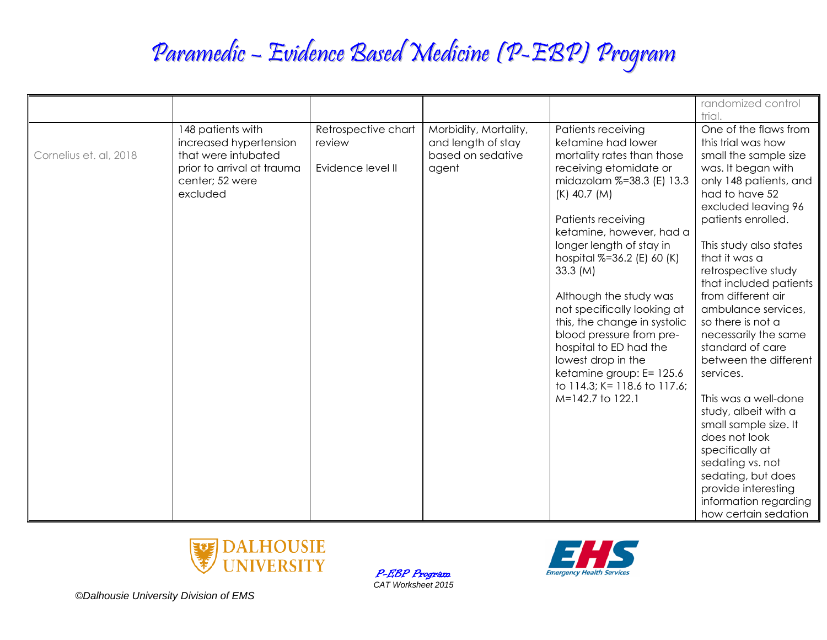|                        |                                                                                                                                 |                                                    |                                                                           |                                                                                                                                                                                                                                                                                                                                                                                                                                                                                                                                | randomized control<br>trial.                                                                                                                                                                                                                                                                                                                                                                                                                                                                                                                                                                                                                                       |
|------------------------|---------------------------------------------------------------------------------------------------------------------------------|----------------------------------------------------|---------------------------------------------------------------------------|--------------------------------------------------------------------------------------------------------------------------------------------------------------------------------------------------------------------------------------------------------------------------------------------------------------------------------------------------------------------------------------------------------------------------------------------------------------------------------------------------------------------------------|--------------------------------------------------------------------------------------------------------------------------------------------------------------------------------------------------------------------------------------------------------------------------------------------------------------------------------------------------------------------------------------------------------------------------------------------------------------------------------------------------------------------------------------------------------------------------------------------------------------------------------------------------------------------|
| Cornelius et. al, 2018 | 148 patients with<br>increased hypertension<br>that were intubated<br>prior to arrival at trauma<br>center; 52 were<br>excluded | Retrospective chart<br>review<br>Evidence level II | Morbidity, Mortality,<br>and length of stay<br>based on sedative<br>agent | Patients receiving<br>ketamine had lower<br>mortality rates than those<br>receiving etomidate or<br>midazolam %=38.3 (E) 13.3<br>$(K)$ 40.7 $(M)$<br>Patients receiving<br>ketamine, however, had a<br>longer length of stay in<br>hospital %=36.2 (E) 60 (K)<br>33.3 (M)<br>Although the study was<br>not specifically looking at<br>this, the change in systolic<br>blood pressure from pre-<br>hospital to ED had the<br>lowest drop in the<br>ketamine group: E= 125.6<br>to 114.3; K= 118.6 to 117.6;<br>M=142.7 to 122.1 | One of the flaws from<br>this trial was how<br>small the sample size<br>was. It began with<br>only 148 patients, and<br>had to have 52<br>excluded leaving 96<br>patients enrolled.<br>This study also states<br>that it was a<br>retrospective study<br>that included patients<br>from different air<br>ambulance services,<br>so there is not a<br>necessarily the same<br>standard of care<br>between the different<br>services.<br>This was a well-done<br>study, albeit with a<br>small sample size. It<br>does not look<br>specifically at<br>sedating vs. not<br>sedating, but does<br>provide interesting<br>information regarding<br>how certain sedation |



P-EBP Program *CAT Worksheet 2015*

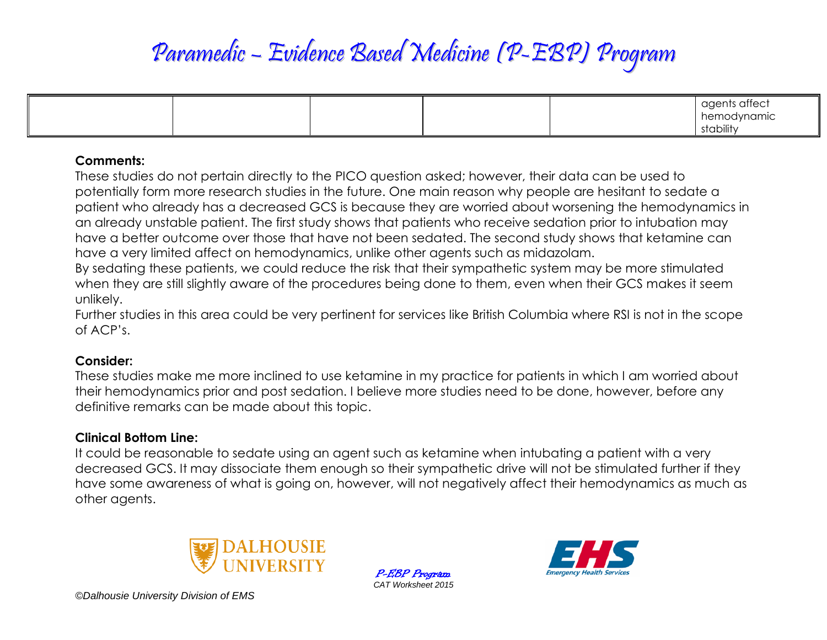|  |  | agents affect |
|--|--|---------------|
|  |  | hemodynamic   |
|  |  | stability     |

#### **Comments:**

These studies do not pertain directly to the PICO question asked; however, their data can be used to potentially form more research studies in the future. One main reason why people are hesitant to sedate a patient who already has a decreased GCS is because they are worried about worsening the hemodynamics in an already unstable patient. The first study shows that patients who receive sedation prior to intubation may have a better outcome over those that have not been sedated. The second study shows that ketamine can have a very limited affect on hemodynamics, unlike other agents such as midazolam.

By sedating these patients, we could reduce the risk that their sympathetic system may be more stimulated when they are still slightly aware of the procedures being done to them, even when their GCS makes it seem unlikely.

Further studies in this area could be very pertinent for services like British Columbia where RSI is not in the scope of ACP's.

#### **Consider:**

These studies make me more inclined to use ketamine in my practice for patients in which I am worried about their hemodynamics prior and post sedation. I believe more studies need to be done, however, before any definitive remarks can be made about this topic.

## **Clinical Bottom Line:**

It could be reasonable to sedate using an agent such as ketamine when intubating a patient with a very decreased GCS. It may dissociate them enough so their sympathetic drive will not be stimulated further if they have some awareness of what is going on, however, will not negatively affect their hemodynamics as much as other agents.



P-EBP Program *CAT Worksheet 2015*